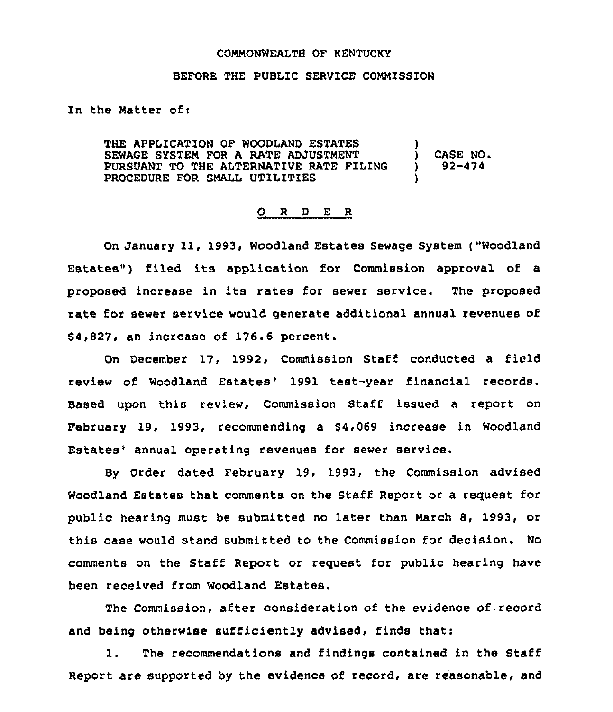#### COMMONWEALTH OF KENTUCKY

## BEFORE THE PUBLIC SERVICE COMMISSION

In the Matter of:

THE APPLICATION OF WOODLAND ESTATES SEWAGE SYSTEM FOR A RATE ADJUSTMENT PURSUANT TO THE ALTERNATIVE RATE FILING PROCEDURE FOR SMALL UTILITIES ) ) CASE NO ) 92-474 )

#### 0 <sup>R</sup> <sup>D</sup> E <sup>R</sup>

On January 11, 1993, Woodland Estates Sewage System ("Woodland Estates") filed its application for Commission approval of a proposed increase in its rates for sewer service, The proposed rate for sewer service would generate additional annual revenues of 64,827, an increase of 176.6 percent.

On December 17, 1992, Commission Staff conducted a field review of Woodland Estates' 1991 test-year financial records. Based upon this review, Commission Staff issued a report on February 19, 1993, recommending a \$4,069 increase in Woodland Estates' annual operating revenues for sewer service.

By Order dated February 19, 1993, the Commission advised Woodland Estates that comments on the Staff Report or a request for public hearing must be submitted no later than March 8, 1993, or this case would stand submitted to the Commission for decision. No comments on the Staff Report or request for public hearing have been received from Woodland Estates

The Commission, after consideration of the evidence of record and being otherwise sufficiently advised, finds that:

1. The recommendations and findings contained in the Staff Report are supported by the evidence of record, are reasonable, and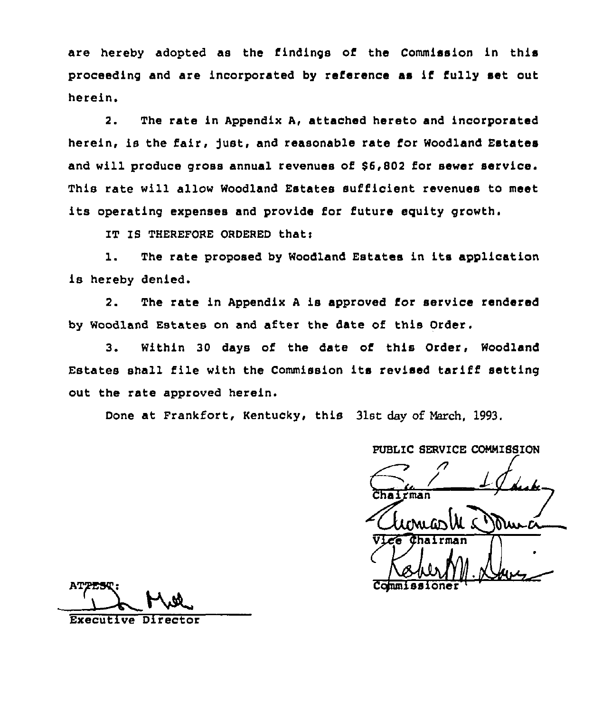are hereby adopted as the findings of the Commission in this proceeding and are incorporated by reference as if fully set out herein.

2. The rate in Appendix A, attached hereto and incorporated herein, is the fair, fust, and reasonable rate for Woodland Estates and will produce gross annual revenues of \$6,802 for sewer service. This rate will allow Woodland Estates sufficient revenues to meet its operating expenses and provide for future equity growth.

IT IS THEREFORE ORDERED that:

l. The rate proposed by Woodland Estates in its application is hereby denied.

2. The rate in Appendix <sup>A</sup> is approved for service rendered by Woodland Estates on and after the date of this Order.

3. Within 30 days of the date of this Order, Woodland Estates shall file with the Commission its revised tariff setting out the rate approved herein.

Done at Frankfort, Kentucky, this 31st day of March, 1993.

PUBLIC SERVICE COMMISSION

 $\overline{r}$ man Commissione

Director 'xecutive was a security of the security of the security of the security of the second security of the second security of the second second second second second second second second second second second second sec